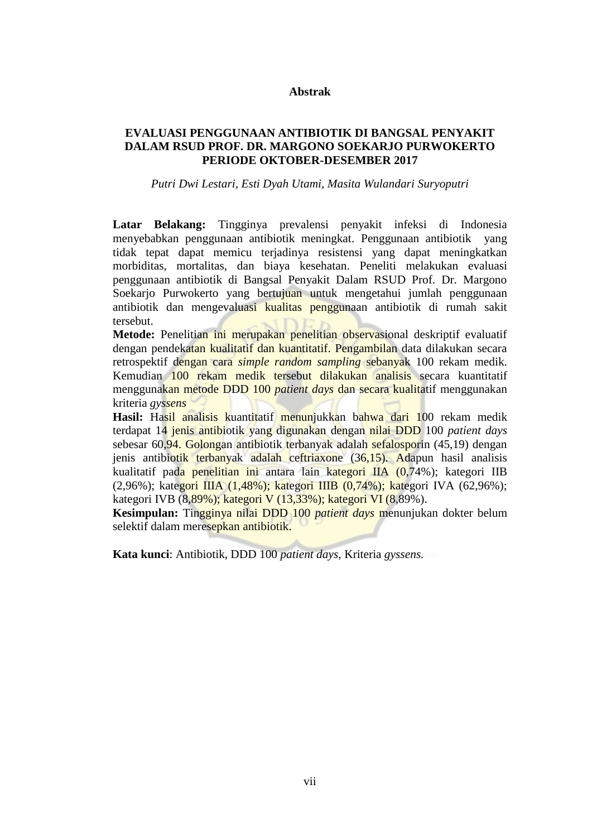### **Abstrak**

# **EVALUASI PENGGUNAAN ANTIBIOTIK DI BANGSAL PENYAKIT DALAM RSUD PROF. DR. MARGONO SOEKARJO PURWOKERTO PERIODE OKTOBER-DESEMBER 2017**

*Putri Dwi Lestari, Esti Dyah Utami, Masita Wulandari Suryoputri*

**Latar Belakang:** Tingginya prevalensi penyakit infeksi di Indonesia menyebabkan penggunaan antibiotik meningkat. Penggunaan antibiotik yang tidak tepat dapat memicu terjadinya resistensi yang dapat meningkatkan morbiditas, mortalitas, dan biaya kesehatan. Peneliti melakukan evaluasi penggunaan antibiotik di Bangsal Penyakit Dalam RSUD Prof. Dr. Margono Soekarjo Purwokerto yang bertujuan untuk mengetahui jumlah penggunaan antibiotik dan mengevaluasi kualitas penggunaan antibiotik di rumah sakit tersebut.

**Metode:** Penelitian ini merupakan penelitian observasional deskriptif evaluatif dengan pendekatan kualitatif dan kuantitatif. Pengambilan data dilakukan secara retrospektif dengan cara *simple random sampling* sebanyak 100 rekam medik. Kemudian 100 rekam medik tersebut dilakukan analisis secara kuantitatif menggunakan metode DDD 100 *patient days* dan secara kualitatif menggunakan kriteria *gyssens*

Hasil: Hasil analisis kuantitatif menunjukkan bahwa dari 100 rekam medik terdapat 14 jenis antibiotik yang digunakan dengan nilai DDD 100 *patient days* sebesar 60,94. Golongan antibiotik terbanyak adalah sefalosporin (45,19) dengan jenis antibiotik terbanyak adalah ceftriaxone (36,15). Adapun hasil analisis kualitatif pada penelitian ini antara lain kategori IIA (0,74%); kategori IIB (2,96%); kategori IIIA (1,48%); kategori IIIB (0,74%); kategori IVA (62.96%); kategori IVB (8,89%); kategori V (13,33%); kategori VI (8,89%).

**Kesimpulan:** Tingginya nilai DDD 100 *patient days* menunjukan dokter belum selektif dalam meresepkan antibiotik.

**Kata kunci**: Antibiotik, DDD 100 *patient days*, Kriteria *gyssens.*